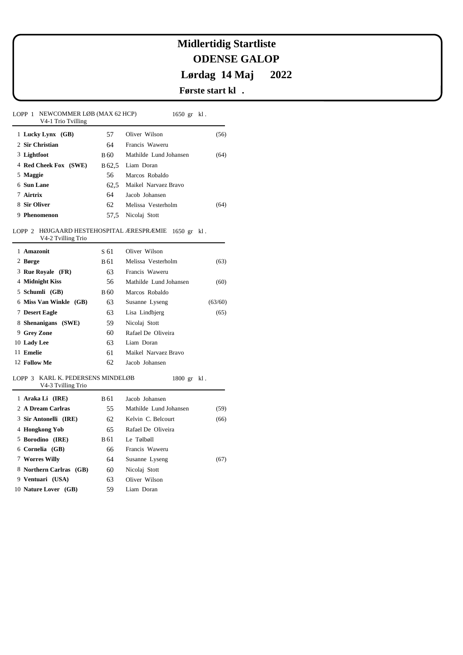## **ODENSE GALOP Lørdag 14 Maj 2022 Midlertidig Startliste**

### **Første start kl .**

1800 gr kl .

LOPP 1 NEWCOMMER LØB (MAX 62 HCP) V4-1 Trio Tvilling 1650 gr kl . 1 **Lucky Lynx (GB)** 2 **Sir Christian**  3 **Lightfoot**  4 **Red Cheek Fox (SWE)** 5 **Maggie**  6 **Sun Lane**  7 **Airtrix**  8 **Sir Oliver**  9 **Phenomenon**  B 60 B 62,5 Liam Doran 57 64 56 62,5 Maikel Narvaez Bravo 64 62 57,5 Nicolaj Stott Oliver Wilson Francis Waweru Mathilde Lund Johansen Marcos Robaldo Jacob Johansen Melissa Vesterholm (56) (64) (64)

#### LOPP 2 HØJGAARD HESTEHOSPITAL ÆRESPRÆMIE 1650 gr kl. V4-2 Tvilling Trio

| $V + Z$ Tvilling Tho      |      |                        |         |
|---------------------------|------|------------------------|---------|
| 1 Amazonit                | S 61 | Oliver Wilson          |         |
| 2 Børge                   | B 61 | Melissa Vesterholm     | (63)    |
| 3 Rue Royale (FR)         | 63   | Francis Waweru         |         |
| 4 Midnight Kiss           | 56   | Mathilde Lund Johansen | (60)    |
| 5 Schumli (GB)            | B 60 | Marcos Robaldo         |         |
| Miss Van Winkle (GB)<br>6 | 63   | Susanne Lyseng         | (63/60) |
| 7 Desert Eagle            | 63   | Lisa Lindbjerg         | (65)    |
| 8 Shenanigans (SWE)       | 59   | Nicolaj Stott          |         |
| 9 Grey Zone               | 60   | Rafael De Oliveira     |         |
| 10 Lady Lee               | 63   | Liam Doran             |         |
| 11 Emelie                 | 61   | Maikel Narvaez Bravo   |         |
| 12 Follow Me              | 62   | Jacob Johansen         |         |
|                           |      |                        |         |

#### 3 KARL K. PEDERSENS MINDELØB LOPP

| V4-3 Tvilling Trio      |      |                        |      |
|-------------------------|------|------------------------|------|
| 1 Araka Li (IRE)        | B 61 | Jacob Johansen         |      |
| 2 A Dream Carlras       | 55   | Mathilde Lund Johansen | (59) |
| 3 Sir Antonelli (IRE)   | 62   | Kelvin C. Belcourt     | (66) |
| 4 Hongkong Yob          | 65   | Rafael De Oliveira     |      |
| 5 Borodino (IRE)        | B 61 | Le Tølbøll             |      |
| 6 Cornelia (GB)         | 66   | Francis Waweru         |      |
| 7 Worres Willy          | 64   | Susanne Lyseng         | (67) |
| 8 Northern Carlras (GB) | 60   | Nicolaj Stott          |      |
| 9 Ventuari (USA)        | 63   | Oliver Wilson          |      |
| 10 Nature Lover (GB)    | 59   | Liam Doran             |      |